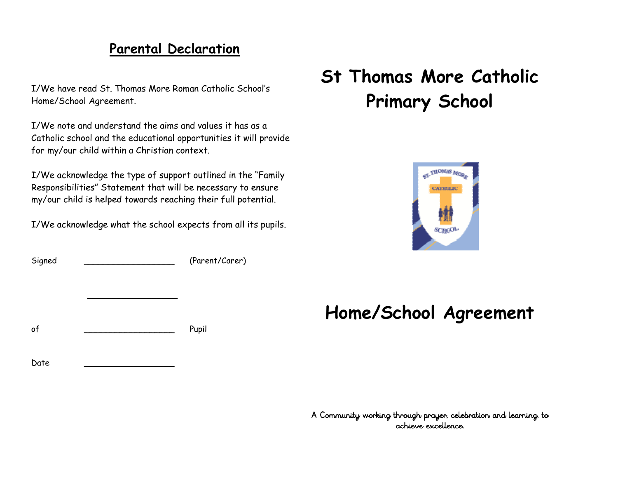## **Parental Declaration**

I/We have read St. Thomas More Roman Catholic School's Home/School Agreement.

I/We note and understand the aims and values it has as a Catholic school and the educational opportunities it will provide for my/our child within a Christian context.

I/We acknowledge the type of support outlined in the "Family Responsibilities" Statement that will be necessary to ensure my/our child is helped towards reaching their full potential.

I/We acknowledge what the school expects from all its pupils.

Signed  $Sipned$  (Parent/Carer)

 $\mathcal{L}_\mathcal{L}$  , we can assume that the contract of the contract of the contract of the contract of the contract of the contract of the contract of the contract of the contract of the contract of the contract of the contr

of \_\_\_\_\_\_\_\_\_\_\_\_\_\_\_\_\_\_ Pupil

# **St Thomas More Catholic Primary School**



## **Home/School Agreement**

Date \_\_\_\_\_\_\_\_\_\_\_\_\_\_\_\_\_\_\_\_\_\_\_\_\_